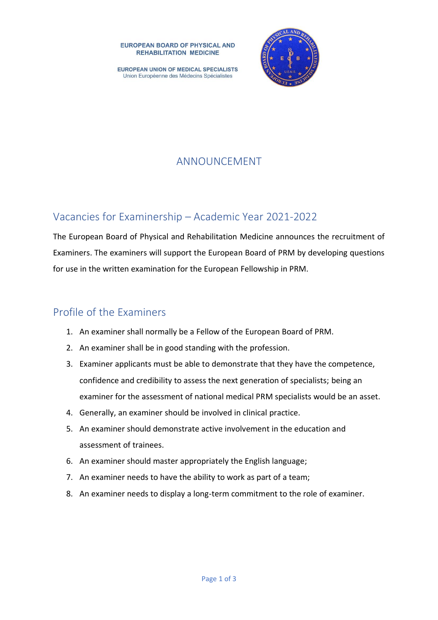**EUROPEAN BOARD OF PHYSICAL AND REHABILITATION MEDICINE** 

**EUROPEAN UNION OF MEDICAL SPECIALISTS** Union Européenne des Médecins Spécialistes



# ANNOUNCEMENT

## Vacancies for Examinership – Academic Year 2021-2022

The European Board of Physical and Rehabilitation Medicine announces the recruitment of Examiners. The examiners will support the European Board of PRM by developing questions for use in the written examination for the European Fellowship in PRM.

## Profile of the Examiners

- 1. An examiner shall normally be a Fellow of the European Board of PRM.
- 2. An examiner shall be in good standing with the profession.
- 3. Examiner applicants must be able to demonstrate that they have the competence, confidence and credibility to assess the next generation of specialists; being an examiner for the assessment of national medical PRM specialists would be an asset.
- 4. Generally, an examiner should be involved in clinical practice.
- 5. An examiner should demonstrate active involvement in the education and assessment of trainees.
- 6. An examiner should master appropriately the English language;
- 7. An examiner needs to have the ability to work as part of a team;
- 8. An examiner needs to display a long-term commitment to the role of examiner.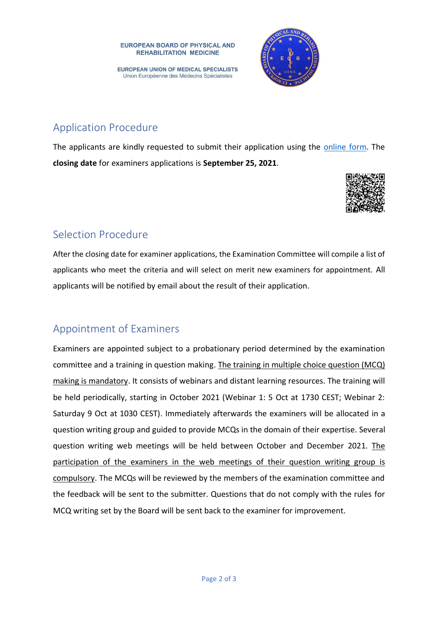

**EUROPEAN UNION OF MEDICAL SPECIALISTS** Union Européenne des Médecins Spécialistes

# Application Procedure

The applicants are kindly requested to submit their application using the [online](https://forms.office.com/Pages/ResponsePage.aspx?id=RHpANW41R0aagkZuz2GjyW6O8dsUI7RNiQBz48OpAMlURUlBTkxCNUtXWEQyOEhLUDlVQjI0OTNDVC4u) form. The **closing date** for examiners applications is **September 25, 2021**.



## Selection Procedure

After the closing date for examiner applications, the Examination Committee will compile a list of applicants who meet the criteria and will select on merit new examiners for appointment. All applicants will be notified by email about the result of their application.

## Appointment of Examiners

Examiners are appointed subject to a probationary period determined by the examination committee and a training in question making. The training in multiple choice question (MCQ) making is mandatory. It consists of webinars and distant learning resources. The training will be held periodically, starting in October 2021 (Webinar 1: 5 Oct at 1730 CEST; Webinar 2: Saturday 9 Oct at 1030 CEST). Immediately afterwards the examiners will be allocated in a question writing group and guided to provide MCQs in the domain of their expertise. Several question writing web meetings will be held between October and December 2021. The participation of the examiners in the web meetings of their question writing group is compulsory. The MCQs will be reviewed by the members of the examination committee and the feedback will be sent to the submitter. Questions that do not comply with the rules for MCQ writing set by the Board will be sent back to the examiner for improvement.